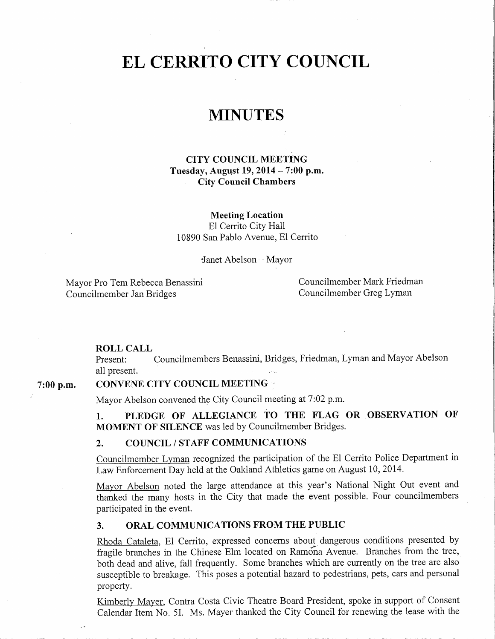# EL CERRITO CITY COUNCIL

# MINUTES

CITY COUNCIL MEETING Tuesday, August 19, 2014 – 7:00 p.m. City Council Chambers

Meeting Location El Cerrito City Hall 10890 San Pablo Avenue, El Cerrito

Janet Abelson — Mayor

Mayor Pro Tem Rebecca Benassini Councilmember Mark Friedman Councilmember Jan Bridges Councilmember Greg Lyman

#### ROLL CALL

Present: Councilmembers Benassini, Bridges, Friedman, Lyman and Mayor Abelson all present.

# 7:00 p.m. CONVENE CITY COUNCIL MEETING

Mayor Abelson convened the City Council meeting at 7:02 p.m.

1. PLEDGE OF ALLEGIANCE TO THE FLAG OR OBSERVATION OF MOMENT OF SILENCE was led by Councilmember Bridges.

#### 2. COUNCIL / STAFF COMMUNICATIONS

Councilmember Lyman recognized the participation of the El Cerrito Police Department in Law Enforcement Day held at the Oakland Athletics game on August 10, 2014.

Mayor Abelson noted the large attendance at this year's National Night Out event and thanked the many hosts in the City that made the event possible. Four councilmembers participated in the event.

# 3. ORAL COMMUNICATIONS FROM THE PUBLIC

Rhoda Cataleta, El Cerrito, expressed concerns about dangerous conditions presented by fragile branches in the Chinese Elm located on Ramona Avenue. Branches from the tree, both dead and alive, fall frequently. Some branches which are currently on the tree are also susceptible to breakage. This poses a potential hazard to pedestrians, pets, cars and personal property.

Kimberly Mayer, Contra Costa Civic Theatre Board President, spoke in support of Consent Calendar Item No. 51. Ms. Mayer thanked the City Council for renewing the lease with the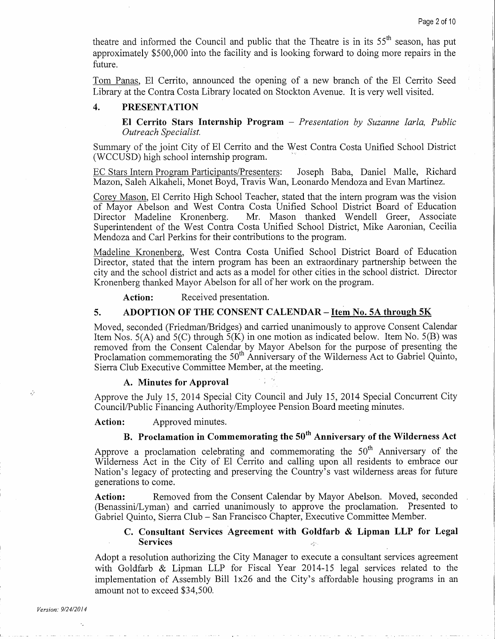theatre and informed the Council and public that the Theatre is in its 55<sup>th</sup> season, has put approximately \$500,000 into the facility and is looking forward to doing more repairs in the future.

Tom Panas, El Cerrito, announced the opening of <sup>a</sup> new branch of the El Cerrito Seed Library at the Contra Costa Library located on Stockton Avenue. It is very well visited.

## 4. PRESENTATION

El Cerrito Stars Internship Program — Presentation by Suzanne Iarla, Public Outreach Specialist.

Summary of the joint City of El Cerrito and the West Contra Costa Unified School District WCCUSD) high school internship program.

EC Stars Intern Program Participants/Presenters: Joseph Baba, Daniel Malle, Richard Mazon, Saleh Alkaheli, Monet Boyd, Travis Wan, Leonardo Mendoza and Evan Martinez.

Corey Mason, El Cerrito High School Teacher, stated that the intern program was the vision of Mayor Abelson and West Contra Costa Unified School District Board of Education Director Madeline Kronenberg. Mr. Mason thanked Wendell Greer, Associate Superintendent of the West Contra Costa Unified School District, Mike Aaronian, Cecilia Mendoza and Carl Perkins for their contributions to the program.

Madeline Kronenberg, West Contra Costa Unified School District Board of Education Director, stated that the intern program has been an extraordinary partnership between the city and the school district and acts as <sup>a</sup> model for other cities in the school district. Director Kronenberg thanked Mayor Abelson for all of her work on the program.

Action: Received presentation.

#### 5. ADOPTION OF THE CONSENT CALENDAR – Item No. 5A through 5K

Moved, seconded (Friedman/Bridges) and carried unanimously to approve Consent Calendar Item Nos. 5(A) and 5(C) through  $\overline{5(K)}$  in one motion as indicated below. Item No. 5(B) was removed from the Consent Calendar by Mayor Abelson for the purpose of presenting the Proclamation commemorating the 50<sup>th</sup> Anniversary of the Wilderness Act to Gabriel Quinto, Sierra Club Executive Committee Member, at the meeting.

#### A. Minutes for Approval

Approve the July 15, 2014 Special City Council and July 15, 2014 Special Concurrent City Council /Public Financing Authority /Employee Pension Board meeting minutes.

Action: Approved minutes.

# B. Proclamation in Commemorating the 50 $^{\rm th}$  Anniversary of the Wilderness Act

Approve a proclamation celebrating and commemorating the 50<sup>th</sup> Anniversary of the Wilderness Act in the City of El Cerrito and calling upon all residents to embrace our Nation's legacy of protecting and preserving the Country's vast wilderness areas for future generations to come.

Action: Removed from the Consent Calendar by Mayor Abelson. Moved, seconded (Benassini/Lyman) and carried unanimously to approve the proclamation. Presented to Gabriel Quinto, Sierra Club — San Francisco Chapter, Executive Committee Member.

#### C. Consultant Services Agreement with Goldfarb & Lipman LLP for Legal Services

Adopt a resolution authorizing the City Manager to execute a consultant services agreement with Goldfarb & Lipman LLP for Fiscal Year 2014-15 legal services related to the implementation of Assembly Bill 1x26 and the City's affordable housing programs in an amount not to exceed \$34,500.

Ŵ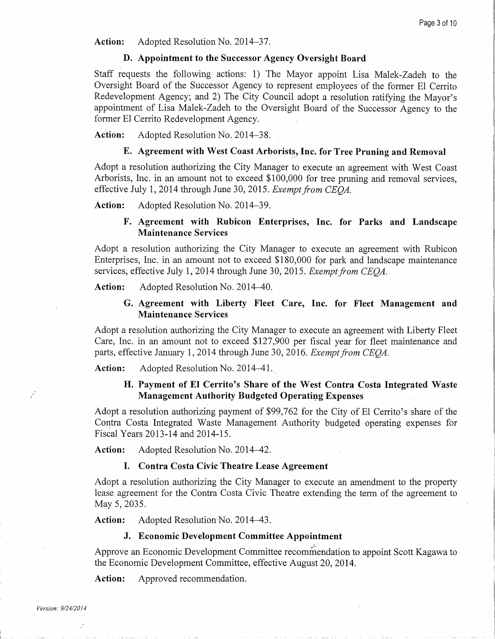Action: Adopted Resolution No. 2014–37.

#### D. Appointment to the Successor Agency Oversight Board

Staff requests the following actions: 1) The Mayor appoint Lisa Malek -Zadeh to the Oversight Board of the Successor Agency to represent employees of the former El Cerrito Redevelopment Agency; and 2) The City Council adopt a resolution ratifying the Mayor's appointment of Lisa Malek -Zadeh to the Oversight Board of the Successor Agency to the former El Cerrito Redevelopment Agency.

Action: Adopted Resolution No. 2014–38.

# E. Agreement with West Coast Arborists, Inc. for Tree Pruning and Removal

Adopt a resolution authorizing the City Manager to execute an agreement with West Coast Arborists, Inc. in an amount not to exceed \$100,000 for tree pruning and removal services, effective July 1, 2014 through June 30, 2015. Exempt from CEOA.

Action: Adopted Resolution No. 2014–39.

# F. Agreement with Rubicon Enterprises, Inc. for Parks and Landscape Maintenance Services

Adopt a resolution authorizing the City Manager to execute an agreement with Rubicon Enterprises, Inc. in an amount not to exceed \$180,000 for park and landscape maintenance services, effective July 1, 2014 through June 30, 2015. Exempt from CEOA.

Action: Adopted Resolution No. 2014–40.

### G. Agreement with Liberty Fleet Care, Inc. for Fleet Management and Maintenance Services

Adopt a resolution authorizing the City Manager to execute an agreement with Liberty Fleet Care, Inc. in an amount not to exceed \$127,900 per fiscal year for fleet maintenance and parts, effective January 1, 2014 through June 30, 2016. Exempt from CEOA.

Action: Adopted Resolution No. 2014–41.

# H. Payment of El Cerrito's Share of the West Contra Costa Integrated Waste Management Authority Budgeted Operating Expenses

Adopt a resolution authorizing payment of \$99,762 for the City of El Cerrito's share of the Contra Costa Integrated Waste Management Authority budgeted operating expenses for Fiscal Years 2013-14 and 2014-15.

Action: Adopted Resolution No. 2014–42.

### I. Contra Costa Civic Theatre Lease Agreement

Adopt a resolution authorizing the City Manager to execute an amendment to the property lease agreement for the Contra Costa Civic Theatre extending the term of the agreement to May 5, 2035.

Action: Adopted Resolution No. 2014–43.

#### J. Economic Development Committee Appointment

Approve an Economic Development Committee recommendation to appoint Scott Kagawa to the Economic Development Committee, effective August 20, 2014.

Action: Approved recommendation.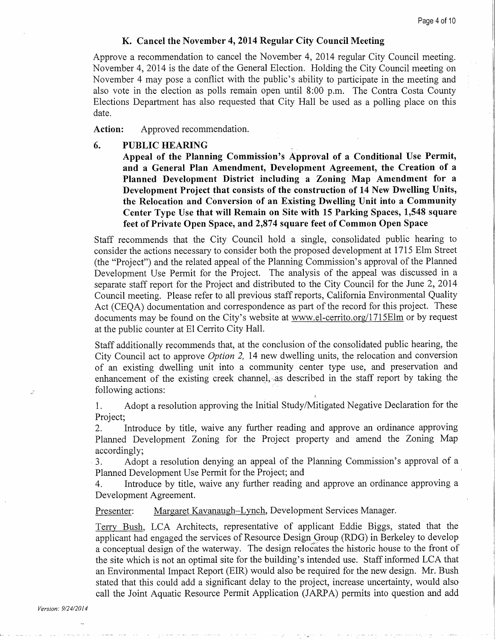#### K. Cancel the November 4, 2014 Regular City Council Meeting

Approve <sup>a</sup> recommendation to cancel the November 4, 2014 regular City Council meeting. November 4, 2014 is the date of the General Election. Holding the City Council meeting on November 4 may pose a conflict with the public's ability to participate in the meeting and also vote in the election as polls remain open until 8:00 p.m. The Contra Costa County Elections Department has also requested that City Hall be used as <sup>a</sup> polling place on this date.

Action: Approved recommendation.

#### 6. PUBLIC HEARING

Appeal of the Planning Commission's Approval of a Conditional Use Permit, and <sup>a</sup> General Plan Amendment, Development Agreement, the Creation of <sup>a</sup> Planned Development District including <sup>a</sup> Zoning Map Amendment for <sup>a</sup> Development Project that consists of the construction of 14 New Dwelling Units, the Relocation and Conversion of an Existing Dwelling Unit into a Community Center Type Use that will Remain on Site with 15 Parking Spaces, 1,548 square feet of Private Open Space, and 2,874 square feet of Common Open Space

Staff recommends that the City Council hold a single, consolidated public hearing to consider the actions necessary to consider both the proposed development at 1715 Elm Street (the "Project") and the related appeal of the Planning Commission's approval of the Planned Development Use Permit for the Project. The analysis of the appeal was discussed in a separate staff report for the Project and distributed to the City Council for the June 2, 2014 Council meeting. Please refer to all previous staff reports, California Environmental Quality Act (CEQA) documentation and correspondence as part of the record for this project. These documents may be found on the City's website at www.el-cerrito.org/1715Elm or by request at the public counter at El Cerrito City Hall.

Staff additionally recommends that, at the conclusion of the consolidated public hearing, the City Council act to approve Option 2, 14 new dwelling units, the relocation and conversion of an existing dwelling unit into <sup>a</sup> community center type use, and preservation and enhancement of the existing creek channel, as described in the staff report by taking the following actions:

1. Adopt a resolution approving the Initial Study /Mitigated Negative Declaration for the Project;<br>2.

Introduce by title, waive any further reading and approve an ordinance approving Planned Development Zoning for the Project property and amend the Zoning Map accordingly;<br>3. Adop

Adopt a resolution denying an appeal of the Planning Commission's approval of a Planned Development Use Permit for the Project; and

Introduce by title, waive any further reading and approve an ordinance approving a Development Agreement.

Presenter: Margaret Kavanaugh–Lynch, Development Services Manager.

Terry Bush, LCA Architects, representative of applicant Eddie Biggs, stated that the applicant had engaged the services of Resource Design Group (RDG) in Berkeley to develop <sup>a</sup> conceptual design of the waterway. The design relocates the historic house to the front of the site which is not an optimal site for the building' <sup>s</sup> intended use. Staff informed LCA that an Environmental Impact Report (EIR) would also be required for the new design. Mr. Bush stated that this could add a significant delay to the project, increase uncertainty, would also call the Joint Aquatic Resource Permit Application (JARPA) permits into question and add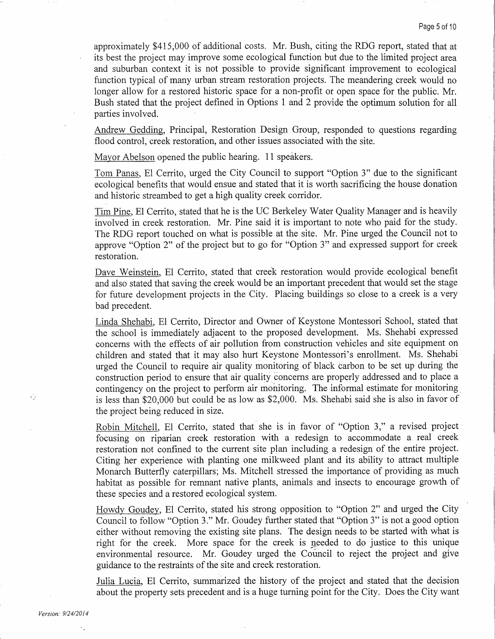approximately \$415, <sup>000</sup> of additional costs. Mr. Bush, citing the RDG report, stated that at its best the project may improve some ecological function but due to the limited project area and suburban context it is not possible to provide significant improvement to ecological function typical of many urban stream restoration projects. The meandering creek would no longer allow for a restored historic space for a non-profit or open space for the public. Mr. Bush stated that the project defined in Options <sup>1</sup> and 2 provide the optimum solution for all parties involved.

Andrew Gedding, Principal, Restoration Design Group, responded to questions regarding flood control, creek restoration, and other issues associated with the site.

Mayor Abelson opened the public hearing. <sup>11</sup> speakers.

Tom Panas, El Cerrito, urged the City Council to support "Option 3" due to the significant ecological benefits that would ensue and stated that it is worth sacrificing the house donation and historic streambed to get a high quality creek corridor.

Tim Pine, El Cerrito, stated that he is the UC Berkeley Water Quality Manager and is heavily involved in creek restoration. Mr. Pine said it is important to note who paid for the study. The RDG report touched on what is possible at the site. Mr. Pine urged the Council not to approve "Option 2" of the project but to go for "Option 3" and expressed support for creek restoration.

Dave Weinstein, El Cerrito, stated that creek restoration would provide ecological benefit and also stated that saving the creek would be an important precedent that would set the stage for future development projects in the City. Placing buildings so close to a creek is a very bad precedent.

Linda Shehabi, El Cerrito, Director and Owner of Keystone Montessori School, stated that the school is immediately adjacent to the proposed development. Ms. Shehabi expressed concerns with the effects of air pollution from construction vehicles and site equipment on children and stated that it may also hurt Keystone Montessori's enrollment. Ms. Shehabi urged the Council to require air quality monitoring of black carbon to be set up during the construction period to ensure that air quality concerns are properly addressed and to place a contingency on the project to perform air monitoring. The informal estimate for monitoring is less than \$20,000 but could be as low as \$2,000. Ms. Shehabi said she is also in favor of the project being reduced in size.

Robin Mitchell, El Cerrito, stated that she is in favor of " Option 3," <sup>a</sup> revised project focusing on riparian creek restoration with <sup>a</sup> redesign to accommodate <sup>a</sup> real creek restoration not confined to the current site plan including <sup>a</sup> redesign of the entire project. Citing her experience with planting one milkweed plant and its ability to attract multiple Monarch Butterfly caterpillars; Ms. Mitchell stressed the importance of providing as much habitat as possible for remnant native plants, animals and insects to encourage growth of these species and a restored ecological system.

Howdy Goudey, El Cerrito, stated his strong opposition to "Option 2" and urged the City Council to follow "Option 3." Mr. Goudey further stated that " Option 3" is not <sup>a</sup> good option either without removing the existing site plans. The design needs to be started with what is right for the creek. More space for the creek is needed to do justice to this unique environmental resource. Mr. Goudey urged the Council to reject the project and give guidance to the restraints of the site and creek restoration.

Julia Lucia, El Cerrito, summarized the history of the project and stated that the decision about the property sets precedent and is a huge turning point for the City. Does the City want

ΥY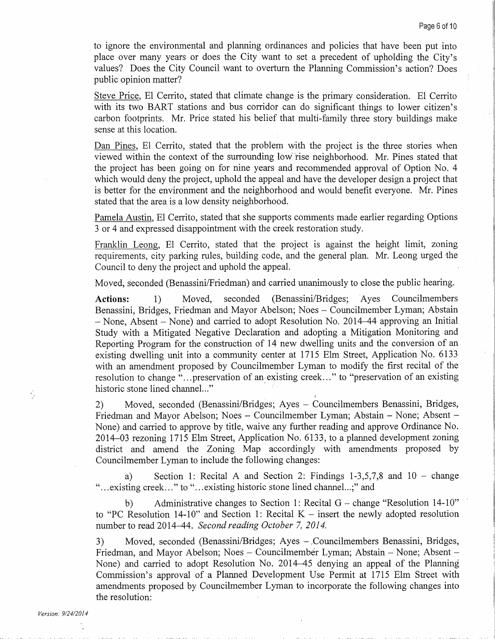to ignore the environmental and planning ordinances and policies that have been put into place over many years or does the City want to set a precedent of upholding the City's values? Does the City Council want to overturn the Planning Commission's action? Does public opinion matter?

Steve Price, El Cerrito, stated that climate change is the primary consideration. El Cerrito with its two BART stations and bus corridor can do significant things to lower citizen's carbon footprints. Mr. Price stated his belief that multi-family three story buildings make sense at this location.

Dan Pines, El Cerrito, stated that the problem with the project is the three stories when viewed within the context of the surrounding low` rise neighborhood. Mr. Pines stated that the project has been going on for nine years and recommended approval of Option No. 4 which would deny the project, uphold the appeal and have the developer design a project that is better for the environment and the neighborhood and would benefit everyone. Mr. Pines stated that the area is a low density neighborhood.

Pamela Austin, El Cerrito, stated that she supports comments made earlier regarding Options <sup>3</sup> or 4 and expressed disappointment with the creek restoration study.

Franklin Leong, El Cerrito, stated that the project is against the height limit, zoning requirements, city parking rules, building code, and the general plan. Mr. Leong urged the Council to deny the project and uphold the appeal.

Moved, seconded (Benassini/Friedman) and carried unanimously to close the public hearing.

Actions: 1) Moved, seconded (Benassini/Bridges; Ayes Councilmembers Benassini, Bridges, Friedman and Mayor Abelson; Noes — Councilmember Lyman; Abstain – None, Absent – None) and carried to adopt Resolution No. 2014–44 approving an Initial Study with a Mitigated Negative Declaration and adopting a Mitigation Monitoring and Reporting Program for the construction of 14 new dwelling units and the conversion of an existing dwelling unit into <sup>a</sup> community center at <sup>1715</sup> Elm Street, Application No. 6133 with an amendment proposed by Councilmember Lyman to modify the first recital of the resolution to change "... preservation of an existing creek..." to "preservation of an existing historic stone lined channel..."

2) Moved, seconded (Benassini/Bridges; Ayes - Councilmembers Benassini, Bridges, Friedman and Mayor Abelson; Noes — Councilmember Lyman; Abstain — None; Absent — None) and carried to approve by title, waive any further reading and approve Ordinance No. 2014 -03 rezoning 1715 Elm Street, Application No. 6133, to a planned development zoning district and amend the Zoning Map accordingly with amendments proposed by Councilmember Lyman to include the following changes:

a) Section 1: Recital A and Section 2: Findings  $1-3,5,7,8$  and  $10$  – change existing creek..." to "... existing historic stone lined channel...;" and

b) Administrative changes to Section 1: Recital  $G$  – change "Resolution 14-10" to "PC Resolution 14-10" and Section 1: Recital  $K$  – insert the newly adopted resolution number to read 2014-44. Second reading October 7, 2014.

3) Moved, seconded (Benassini/Bridges; Ayes - Councilmembers Benassini, Bridges, Friedman, and Mayor Abelson; Noes — Councilmember Lyman; Abstain — None; Absent — None) and carried to adopt Resolution No. 2014 -45 denying an appeal of the Planning Commission's approval of a Planned Development Use Permit at 1715 Elm Street with amendments proposed by Councilmember Lyman to incorporate the following changes into the resolution:

ŷ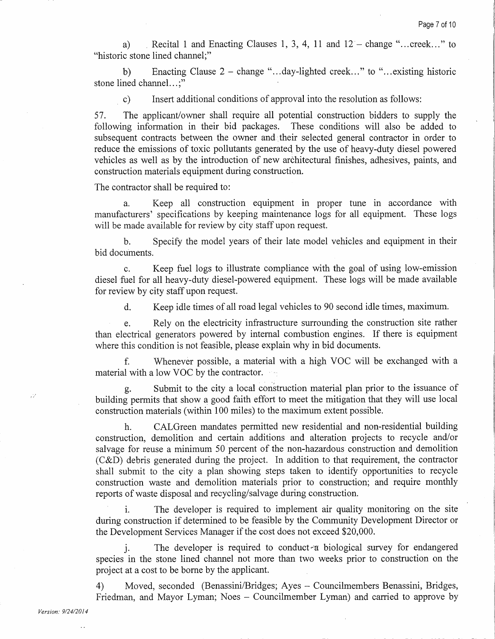a) Recital 1 and Enacting Clauses 1, 3, 4, 11 and  $12 - \text{change}$  "... creek..." to historic stone lined channel;"

b) Enacting Clause 2 — change "... day- lighted creek..." to "... existing historic stone lined channel...;"

C) Insert additional conditions of approval into the resolution as follows:

57. The applicant/owner shall require all potential construction bidders to supply the following information in their bid packages. These conditions will also be added to subsequent contracts between the owner and their selected general contractor in order to reduce the emissions of toxic pollutants generated by the use of heavy -duty diesel powered vehicles as well as by the introduction of new architectural finishes, adhesives, paints, and construction materials equipment during construction.

The contractor shall be required to:

a. Keep all construction equipment in proper tune in accordance with manufacturers' specifications by keeping maintenance logs for all equipment. These logs will be made available for review by city staff upon request.

b. Specify the model years of their late model vehicles and equipment in their bid documents.

C. Keep fuel logs to illustrate compliance with the goal of using low- emission diesel fuel for all heavy-duty diesel-powered equipment. These logs will be made available for review by city staff upon request.

d. Keep idle times of all road legal vehicles to 90 second idle times, maximum.

e. Rely on the electricity infrastructure surrounding the construction site rather than electrical generators powered by internal combustion engines. If there is equipment where this condition is not feasible, please explain why in bid documents.

f. Whenever possible, <sup>a</sup> material with <sup>a</sup> high VOC will be exchanged with <sup>a</sup> material with a low VOC by the contractor.

g. Submit to the city a local construction material plan prior to the issuance of building permits that show <sup>a</sup> good faith effort to meet the mitigation that they will use local construction materials (within 100 miles) to the maximum extent possible.

h. CALGreen mandates permitted new residential and non-residential building construction, demolition and certain additions and alteration projects to recycle and/or salvage for reuse a minimum 50 percent of the non-hazardous construction and demolition  $(C&D)$  debris generated during the project. In addition to that requirement, the contractor shall submit to the city a plan showing steps taken to identify opportunities to recycle construction waste and demolition materials prior to construction; and require monthly reports of waste disposal and recycling/salvage during construction.

The developer is required to implement air quality monitoring on the site during construction if determined to be feasible by the Community Development Director or the Development Services Manager if the cost does not exceed \$20, 000.

i. The developer is required to conduct a biological survey for endangered species in the stone lined channel not more than two weeks prior to construction on the project at a cost to be borne by the applicant.

4) Moved, seconded (Benassini/Bridges; Ayes - Councilmembers Benassini, Bridges, Friedman, and Mayor Lyman; Noes — Councilmember Lyman) and carried to approve by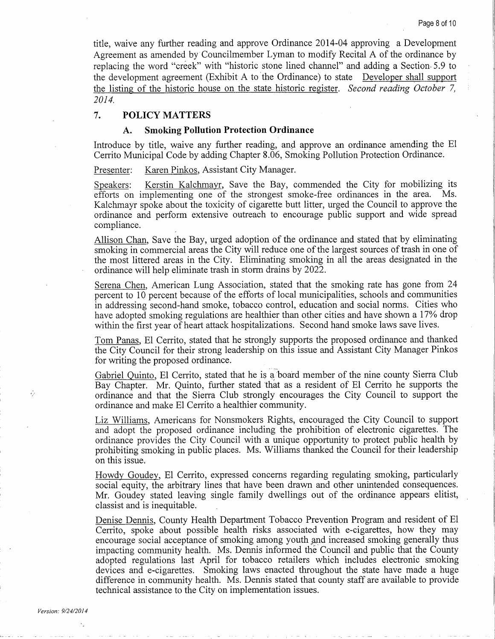title, waive any further reading and approve Ordinance 2014 -04 approving <sup>a</sup> Development Agreement as amended by Councilmember Lyman to modify Recital A of the ordinance by replacing the word "creek" with "historic stone lined channel" and adding a Section 5.9 to the development agreement (Exhibit A to the Ordinance) to state Developer shall support the listing of the historic house on the state historic register. Second reading October 7, 2014,

# 7. POLICY MATTERS

#### A. Smoking Pollution Protection Ordinance

Introduce by title, waive any further reading, and approve an ordinance amending the El Cerrito Municipal Code by adding Chapter 8. 06, Smoking Pollution Protection Ordinance.

Presenter: Karen Pinkos, Assistant City Manager.

Speakers: Kerstin Kalchmayr, Save the Bay, commended the City for mobilizing its efforts on implementing one of the strongest smoke -free ordinances in the area. Ms. Kalchmayr spoke about the toxicity of cigarette butt litter, urged the Council to approve the ordinance and perform extensive outreach to encourage public support and wide spread compliance.

Allison Chan, Save the Bay, urged adoption of the ordinance and stated that by eliminating smoking in commercial areas the City will reduce one of the largest sources of trash in one of the most littered areas in the City. Eliminating smoking in all the areas designated in the ordinance will help eliminate trash in storm drains by 2022.

Serena Chen, American Lung Association, stated that the smoking rate has gone from 24 percent to <sup>10</sup> percent because of the efforts of local municipalities, schools and communities in addressing second -hand smoke, tobacco control, education and social norms. Cities who have adopted smoking regulations are healthier than other cities and have shown a 17% drop within the first year of heart attack hospitalizations. Second hand smoke laws save lives.

Tom Panas, El Cerrito, stated that he strongly supports the proposed ordinance and thanked the City Council for their strong leadership on this issue and Assistant City Manager Pinkos for writing the proposed ordinance.

Gabriel Quinto, El Cerrito, stated that he is a board member of the nine county Sierra Club Bay Chapter. Mr. Quinto, further stated 'that as <sup>a</sup> resident of El Cerrito he supports the ordinance and that the Sierra Club strongly encourages the City Council to support the ordinance and make El Cerrito a healthier community.

Liz Williams, Americans for Nonsmokers Rights, encouraged the City Council to support and adopt the proposed ordinance including the prohibition of electronic cigarettes. The ordinance provides the City Council with a unique opportunity to protect public health by prohibiting smoking in public places. Ms. Williams thanked the Council for their leadership on this issue.

Howdy Goudey, El Cerrito, expressed concerns regarding regulating smoking, particularly social equity, the arbitrary lines that have been drawn and other unintended consequences. Mr. Goudey stated leaving single family dwellings out of the ordinance appears elitist, classist and is inequitable.

Denise Dennis, County Health Department Tobacco Prevention Program and resident of El Cerrito, spoke about possible health risks associated with e- cigarettes, how they may encourage social acceptance of smoking among youth and increased smoking generally thus impacting community health. Ms. Dennis informed the Council and public that the County adopted regulations last April for tobacco retailers which includes electronic smoking devices and e-cigarettes. Smoking laws enacted throughout the state have made a huge difference in community health. Ms. Dennis stated that county staff are available to provide technical assistance to the City on implementation issues.

ŵ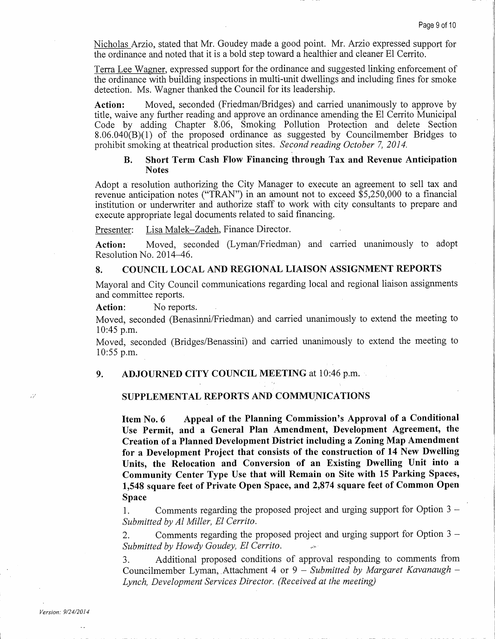Nicholas Arzio, stated that Mr. Goudey made <sup>a</sup> good point. Mr. Arzio expressed support for the ordinance and noted that it is <sup>a</sup> bold step toward <sup>a</sup> healthier and cleaner El Cerrito.

the ordinance with building inspections in multi -unit dwellings and including fines for smoke detection. Ms. Wagner thanked the Council for its leadership.

Action: Moved, seconded (Friedman/Bridges) and carried unanimously to approve by title, waive any further reading and approve an ordinance amending the El Cerrito Municipal Code by adding Chapter 8.06, Smoking Pollution Protection and delete Section  $8.06.040(B)(1)$  of the proposed ordinance as suggested by Councilmember Bridges to prohibit smoking at theatrical production sites. `Second reading October 7, 2014.

#### B. Short Term Cash Flow Financing through Tax and Revenue Anticipation Notes

Adopt a resolution authorizing the City Manager to execute an agreement to sell tax and revenue anticipation notes ("TRAN") in an amount not to exceed \$5,250,000 to a financial institution or underwriter and authorize staff to work with city consultants to prepare and execute appropriate legal documents related to said financing.

Presenter: Lisa Malek-Zadeh, Finance Director.

Action: Moved, seconded (Lyman/Friedman) and carried unanimously to adopt Resolution No. 2014–46.

# 8. COUNCIL LOCAL AND REGIONAL LIAISON ASSIGNMENT REPORTS

Mayoral and City Council communications regarding local and regional liaison assignments and committee reports.

Action: No reports.

Moved, seconded (Benasinni/Friedman) and carried unanimously to extend the meeting to  $10:45$  p.m.

Moved, seconded (Bridges/Benassini) and carried unanimously to extend the meeting to 10:55 p.m.

9. ADJOURNED CITY COUNCIL MEETING at 10:46 p.m.

#### SUPPLEMENTAL REPORTS AND COMMUNICATIONS

Nichelas Artio, stated that Mr. Goudey anade a good point. Mr. Arzio expressed an<br>point for the continuous each of the this holid step bowen is helical<br>triat and slotter in the ordinance and suggested linking enforcement Item No. 6 Appeal of the Planning Commission's Approval of a Conditional Use Permit, and <sup>a</sup> General Plan Amendment, Development Agreement, the Creation of a Planned Development District including a Zoning Map Amendment for a Development Project that consists of the construction of 14 New Dwelling Units, the Relocation and Conversion of an Existing Dwelling Unit into <sup>a</sup> Community Center Type Use that will Remain on Site with <sup>15</sup> Parking Spaces, 1, 548 square feet of Private Open Space, and 2,874 square feet of Common Open Space

1. Comments regarding the proposed project and urging support for Option 3 — Submitted by Al Miller, El Cerrito.

2. Comments regarding the proposed project and urging support for Option 3 — Submitted by Howdy Goudey, El Cerrito.

3. Additional proposed conditions of approval responding to comments from Councilmember Lyman, Attachment 4 or  $9 - Submitted$  by Margaret Kavanaugh  $-$ Lynch, Development Services Director. (Received at the meeting)